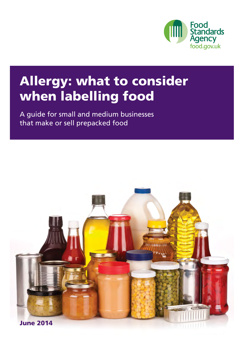

# Allergy: what to consider when labelling food

A guide for small and medium businesses that make or sell prepacked food

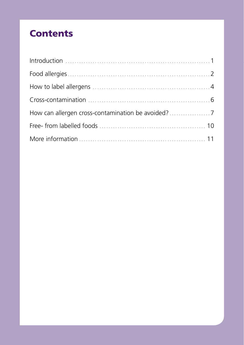# **Contents**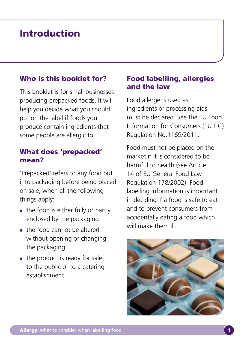# Introduction

### Who is this booklet for?

This booklet is for small businesses producing prepacked foods. It will help you decide what you should put on the label if foods you produce contain ingredients that some people are allergic to.

### What does 'prepacked' mean?

'Prepacked' refers to any food put into packaging before being placed on sale, when all the following things apply:

- the food is either fully or partly enclosed by the packaging
- the food cannot be altered without opening or changing the packaging
- $\bullet$  the product is ready for sale to the public or to a catering establishment

### Food labelling, allergies and the law

Food allergens used as ingredients or processing aids must be declared. See the EU Food Information for Consumers (EU FIC) Regulation No.1169/2011.

Food must not be placed on the market if it is considered to be harmful to health (see Article 14 of EU General Food Law Regulation 178/2002). Food labelling information is important in deciding if a food is safe to eat and to prevent consumers from accidentally eating a food which will make them ill.

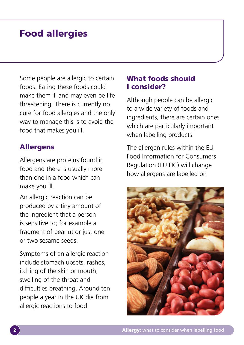# Food allergies

Some people are allergic to certain foods. Eating these foods could make them ill and may even be life threatening. There is currently no cure for food allergies and the only way to manage this is to avoid the food that makes you ill.

#### Allergens

Allergens are proteins found in food and there is usually more than one in a food which can make you ill.

An allergic reaction can be produced by a tiny amount of the ingredient that a person is sensitive to; for example a fragment of peanut or just one or two sesame seeds.

Symptoms of an allergic reaction include stomach upsets, rashes, itching of the skin or mouth, swelling of the throat and difficulties breathing. Around ten people a year in the UK die from allergic reactions to food.

### What foods should I consider?

Although people can be allergic to a wide variety of foods and ingredients, there are certain ones which are particularly important when labelling products.

The allergen rules within the EU Food Information for Consumers Regulation (EU FIC) will change how allergens are labelled on

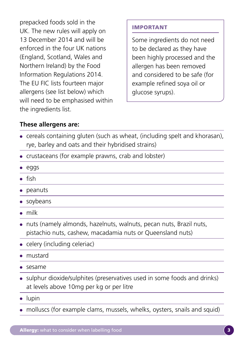prepacked foods sold in the UK. The new rules will apply on 13 December 2014 and will be enforced in the four UK nations (England, Scotland, Wales and Northern Ireland) by the Food Information Regulations 2014. The EU FIC lists fourteen major allergens (see list below) which will need to be emphasised within the ingredients list.

#### IMPORTANT

Some ingredients do not need to be declared as they have been highly processed and the allergen has been removed and considered to be safe (for example refined soya oil or glucose syrups).

#### **These allergens are:**

- cereals containing gluten (such as wheat, (including spelt and khorasan), rye, barley and oats and their hybridised strains)
- crustaceans (for example prawns, crab and lobster)
- eggs
- $\bullet$  fish
- peanuts
- soybeans
- milk
- nuts (namely almonds, hazelnuts, walnuts, pecan nuts, Brazil nuts, pistachio nuts, cashew, macadamia nuts or Queensland nuts)
- celery (including celeriac)
- mustard
- sesame
- sulphur dioxide/sulphites (preservatives used in some foods and drinks) at levels above 10mg per kg or per litre
- lupin
- molluscs (for example clams, mussels, whelks, oysters, snails and squid)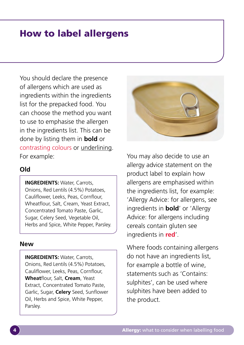# How to label allergens

You should declare the presence of allergens which are used as ingredients within the ingredients list for the prepacked food. You can choose the method you want to use to emphasise the allergen in the ingredients list. This can be done by listing them in **bold** or contrasting colours or underlining. For example:

#### **Old**

**INGREDIENTS:** Water, Carrots, Onions, Red Lentils (4.5%) Potatoes, Cauliflower, Leeks, Peas, Cornflour, Wheatflour, Salt, Cream, Yeast Extract, Concentrated Tomato Paste, Garlic, Sugar, Celery Seed, Vegetable Oil, Herbs and Spice, White Pepper, Parsley.

#### **New**

**INGREDIENTS: Water, Carrots,** Onions, Red Lentils (4.5%) Potatoes, Cauliflower, Leeks, Peas, Cornflour, **Wheat**flour, Salt, **Cream**, Yeast Extract, Concentrated Tomato Paste, Garlic, Sugar, **Celery** Seed, Sunflower Oil, Herbs and Spice, White Pepper, Parsley.



You may also decide to use an allergy advice statement on the product label to explain how allergens are emphasised within the ingredients list, for example: 'Allergy Advice: for allergens, see ingredients in **bold**' or 'Allergy Advice: for allergens including cereals contain gluten see ingredients in **red**'.

Where foods containing allergens do not have an ingredients list, for example a bottle of wine, statements such as 'Contains: sulphites', can be used where sulphites have been added to the product.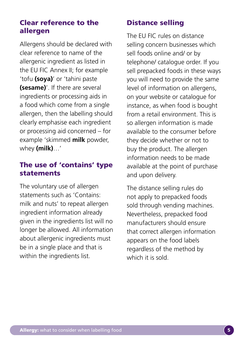### Clear reference to the allergen

Allergens should be declared with clear reference to name of the allergenic ingredient as listed in the EU FIC Annex II; for example 'tofu **(soya)**' or 'tahini paste **(sesame)**'. If there are several ingredients or processing aids in a food which come from a single allergen, then the labelling should clearly emphasise each ingredient or processing aid concerned – for example 'skimmed **milk** powder, whey **(milk)**…'

# The use of 'contains' type statements

The voluntary use of allergen statements such as 'Contains: milk and nuts' to repeat allergen ingredient information already given in the ingredients list will no longer be allowed. All information about allergenic ingredients must be in a single place and that is within the ingredients list.

# Distance selling

The EU FIC rules on distance selling concern businesses which sell foods online and/ or by telephone/ catalogue order. If you sell prepacked foods in these ways you will need to provide the same level of information on allergens, on your website or catalogue for instance, as when food is bought from a retail environment. This is so allergen information is made available to the consumer before they decide whether or not to buy the product. The allergen information needs to be made available at the point of purchase and upon delivery.

The distance selling rules do not apply to prepacked foods sold through vending machines. Nevertheless, prepacked food manufacturers should ensure that correct allergen information appears on the food labels regardless of the method by which it is sold.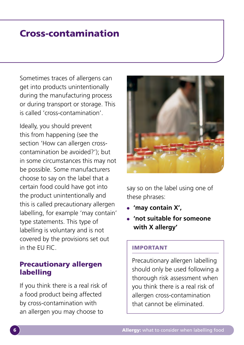# Cross-contamination

Sometimes traces of allergens can get into products unintentionally during the manufacturing process or during transport or storage. This is called 'cross-contamination'.

Ideally, you should prevent this from happening (see the section 'How can allergen crosscontamination be avoided?'); but in some circumstances this may not be possible. Some manufacturers choose to say on the label that a certain food could have got into the product unintentionally and this is called precautionary allergen labelling, for example 'may contain' type statements. This type of labelling is voluntary and is not covered by the provisions set out in the EU FIC.

#### Precautionary allergen labelling

If you think there is a real risk of a food product being affected by cross-contamination with an allergen you may choose to



say so on the label using one of these phrases:

- **'may contain X',**
- **'not suitable for someone with X allergy'**

#### IMPORTANT

Precautionary allergen labelling should only be used following a thorough risk assessment when you think there is a real risk of allergen cross-contamination that cannot be eliminated.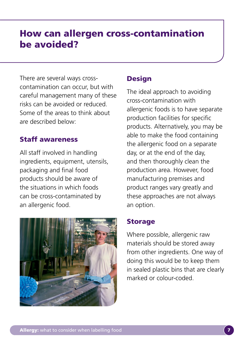# How can allergen cross-contamination be avoided?

There are several ways crosscontamination can occur, but with careful management many of these risks can be avoided or reduced. Some of the areas to think about are described below:

### Staff awareness

All staff involved in handling ingredients, equipment, utensils, packaging and final food products should be aware of the situations in which foods can be cross-contaminated by an allergenic food.



# **Design**

The ideal approach to avoiding cross-contamination with allergenic foods is to have separate production facilities for specific products. Alternatively, you may be able to make the food containing the allergenic food on a separate day, or at the end of the day, and then thoroughly clean the production area. However, food manufacturing premises and product ranges vary greatly and these approaches are not always an option.

# Storage

Where possible, allergenic raw materials should be stored away from other ingredients. One way of doing this would be to keep them in sealed plastic bins that are clearly marked or colour-coded.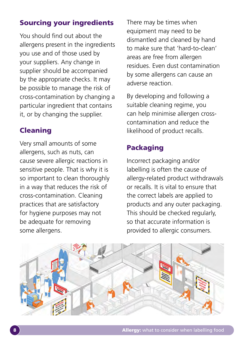# Sourcing your ingredients

You should find out about the allergens present in the ingredients you use and of those used by your suppliers. Any change in supplier should be accompanied by the appropriate checks. It may be possible to manage the risk of cross-contamination by changing a particular ingredient that contains it, or by changing the supplier.

# Cleaning

Very small amounts of some allergens, such as nuts, can cause severe allergic reactions in sensitive people. That is why it is so important to clean thoroughly in a way that reduces the risk of cross-contamination. Cleaning practices that are satisfactory for hygiene purposes may not be adequate for removing some allergens.

There may be times when equipment may need to be dismantled and cleaned by hand to make sure that 'hard-to-clean' areas are free from allergen residues. Even dust contamination by some allergens can cause an adverse reaction.

By developing and following a suitable cleaning regime, you can help minimise allergen crosscontamination and reduce the likelihood of product recalls.

# Packaging

Incorrect packaging and/or labelling is often the cause of allergy-related product withdrawals or recalls. It is vital to ensure that the correct labels are applied to products and any outer packaging. This should be checked regularly, so that accurate information is provided to allergic consumers.

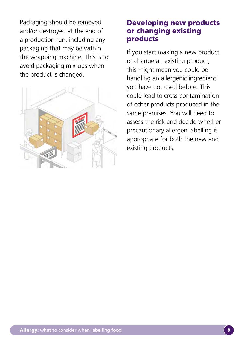Packaging should be removed and/or destroyed at the end of a production run, including any packaging that may be within the wrapping machine. This is to avoid packaging mix-ups when the product is changed.



#### Developing new products or changing existing products

If you start making a new product, or change an existing product, this might mean you could be handling an allergenic ingredient you have not used before. This could lead to cross-contamination of other products produced in the same premises. You will need to assess the risk and decide whether precautionary allergen labelling is appropriate for both the new and existing products.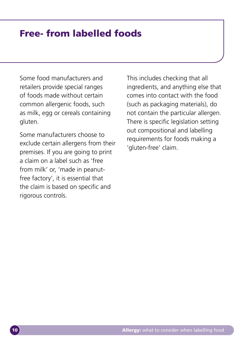# Free- from labelled foods

Some food manufacturers and retailers provide special ranges of foods made without certain common allergenic foods, such as milk, egg or cereals containing gluten.

Some manufacturers choose to exclude certain allergens from their premises. If you are going to print a claim on a label such as 'free from milk' or, 'made in peanutfree factory', it is essential that the claim is based on specific and rigorous controls.

This includes checking that all ingredients, and anything else that comes into contact with the food (such as packaging materials), do not contain the particular allergen. There is specific legislation setting out compositional and labelling requirements for foods making a 'gluten-free' claim.

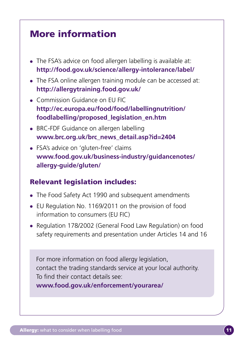# More information

- The FSA's advice on food allergen labelling is available at: **<http://food.gov.uk/science/allergy-intolerance/label>/**
- The FSA online allergen training module can be accessed at: **<http://allergytraining.food.gov.uk>/**
- Commission Guidance on EU FIC **[http://ec.europa.eu/food/food/labellingnutrition/](http://ec.europa.eu/food/food/labellingnutrition/foodlabelling/proposed_legislation_en.htm) [foodlabelling/proposed\\_legislation\\_en.htm](http://ec.europa.eu/food/food/labellingnutrition/foodlabelling/proposed_legislation_en.htm)**
- BRC-FDF Guidance on allergen labelling **[www.brc.org.uk/brc\\_news\\_detail.asp?id=2404](http://www.brc.org.uk/brc_news_detail.asp?id=2404)**
- FSA's advice on 'gluten-free' claims **[www.food.gov.uk/business-industry/guidancenotes/](www.food.gov.uk/business-industry/guidancenotes/allergy-guide/gluten) [allergy-guide/gluten](www.food.gov.uk/business-industry/guidancenotes/allergy-guide/gluten)/**

# Relevant legislation includes:

- The Food Safety Act 1990 and subsequent amendments
- EU Regulation No. 1169/2011 on the provision of food information to consumers (EU FIC)
- Regulation 178/2002 (General Food Law Regulation) on food safety requirements and presentation under Articles 14 and 16

For more information on food allergy legislation, contact the trading standards service at your local authority. To find their contact details see: **[www.food.gov.uk/enforcement/yourarea/](www.food.gov.uk/enforcement/yourarea)**